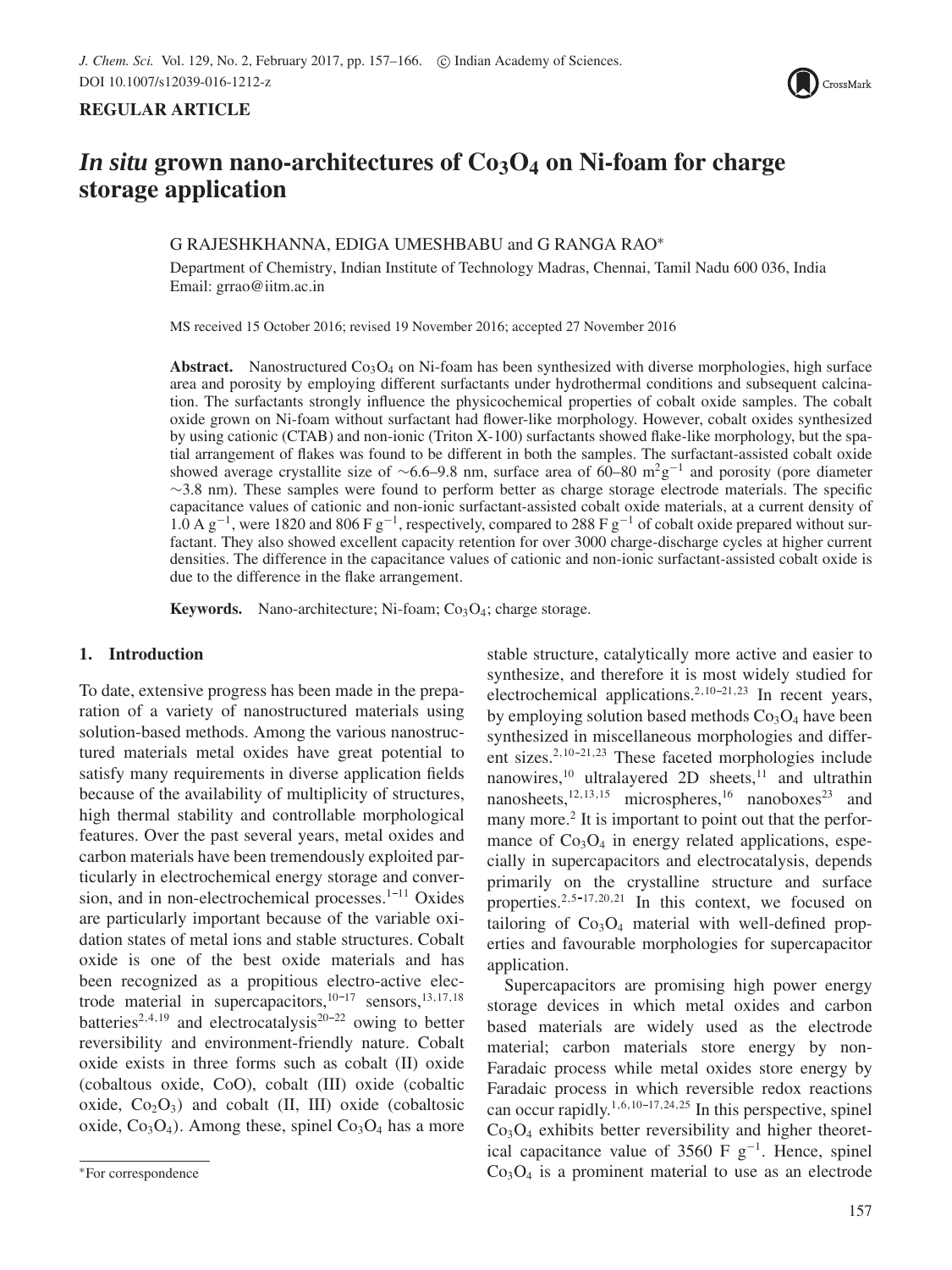

# **REGULAR ARTICLE**

# *In situ* grown nano-architectures of  $Co<sub>3</sub>O<sub>4</sub>$  on Ni-foam for charge **storage application**

# G RAJESHKHANNA, EDIGA UMESHBABU and G RANGA RAO∗

Department of Chemistry, Indian Institute of Technology Madras, Chennai, Tamil Nadu 600 036, India Email: grrao@iitm.ac.in

MS received 15 October 2016; revised 19 November 2016; accepted 27 November 2016

**Abstract.** Nanostructured  $Co<sub>3</sub>O<sub>4</sub>$  on Ni-foam has been synthesized with diverse morphologies, high surface area and porosity by employing different surfactants under hydrothermal conditions and subsequent calcination. The surfactants strongly influence the physicochemical properties of cobalt oxide samples. The cobalt oxide grown on Ni-foam without surfactant had flower-like morphology. However, cobalt oxides synthesized by using cationic (CTAB) and non-ionic (Triton X-100) surfactants showed flake-like morphology, but the spatial arrangement of flakes was found to be different in both the samples. The surfactant-assisted cobalt oxide showed average crystallite size of ∼6.6–9.8 nm, surface area of 60–80 m<sup>2</sup>g<sup>-1</sup> and porosity (pore diameter ∼3.8 nm). These samples were found to perform better as charge storage electrode materials. The specific capacitance values of cationic and non-ionic surfactant-assisted cobalt oxide materials, at a current density of 1.0 A g<sup>-1</sup>, were 1820 and 806 F g<sup>-1</sup>, respectively, compared to 288 F g<sup>-1</sup> of cobalt oxide prepared without surfactant. They also showed excellent capacity retention for over 3000 charge-discharge cycles at higher current densities. The difference in the capacitance values of cationic and non-ionic surfactant-assisted cobalt oxide is due to the difference in the flake arrangement.

**Keywords.** Nano-architecture; Ni-foam;  $Co<sub>3</sub>O<sub>4</sub>$ ; charge storage.

# **1. Introduction**

To date, extensive progress has been made in the preparation of a variety of nanostructured materials using solution-based methods. Among the various nanostructured materials metal oxides have great potential to satisfy many requirements in diverse application fields because of the availability of multiplicity of structures, high thermal stability and controllable morphological features. Over the past several years, metal oxides and carbon materials have been tremendously exploited particularly in electrochemical energy storage and conversion, and in non-electrochemical processes. $1-11$  Oxides are particularly important because of the variable oxidation states of metal ions and stable structures. Cobalt oxide is one of the best oxide materials and has been recognized as a propitious electro-active electrode material in supercapacitors, $10-17$  sensors, $13,17,18$ batteries<sup>2,4,19</sup> and electrocatalysis<sup>20-22</sup> owing to better reversibility and environment-friendly nature. Cobalt oxide exists in three forms such as cobalt (II) oxide (cobaltous oxide, CoO), cobalt (III) oxide (cobaltic oxide,  $Co<sub>2</sub>O<sub>3</sub>$ ) and cobalt (II, III) oxide (cobaltosic oxide,  $Co<sub>3</sub>O<sub>4</sub>$ ). Among these, spinel  $Co<sub>3</sub>O<sub>4</sub>$  has a more stable structure, catalytically more active and easier to synthesize, and therefore it is most widely studied for electrochemical applications.<sup>2,10-21,23</sup> In recent years, by employing solution based methods  $Co<sub>3</sub>O<sub>4</sub>$  have been synthesized in miscellaneous morphologies and different sizes. $2,10-21,23$  These faceted morphologies include nanowires,<sup>10</sup> ultralayered 2D sheets,<sup>11</sup> and ultrathin nanosheets, $12,13,15$  microspheres, $16$  nanoboxes $23$  and many more.<sup>2</sup> It is important to point out that the performance of  $Co<sub>3</sub>O<sub>4</sub>$  in energy related applications, especially in supercapacitors and electrocatalysis, depends primarily on the crystalline structure and surface properties.<sup>2,5-17,20,21</sup> In this context, we focused on tailoring of  $Co<sub>3</sub>O<sub>4</sub>$  material with well-defined properties and favourable morphologies for supercapacitor application.

Supercapacitors are promising high power energy storage devices in which metal oxides and carbon based materials are widely used as the electrode material; carbon materials store energy by non-Faradaic process while metal oxides store energy by Faradaic process in which reversible redox reactions can occur rapidly.<sup>1,6,10-17,24,25</sup> In this perspective, spinel  $Co<sub>3</sub>O<sub>4</sub>$  exhibits better reversibility and higher theoretical capacitance value of 3560 F  $g^{-1}$ . Hence, spinel  $Co<sub>3</sub>O<sub>4</sub>$  is a prominent material to use as an electrode

<sup>∗</sup>For correspondence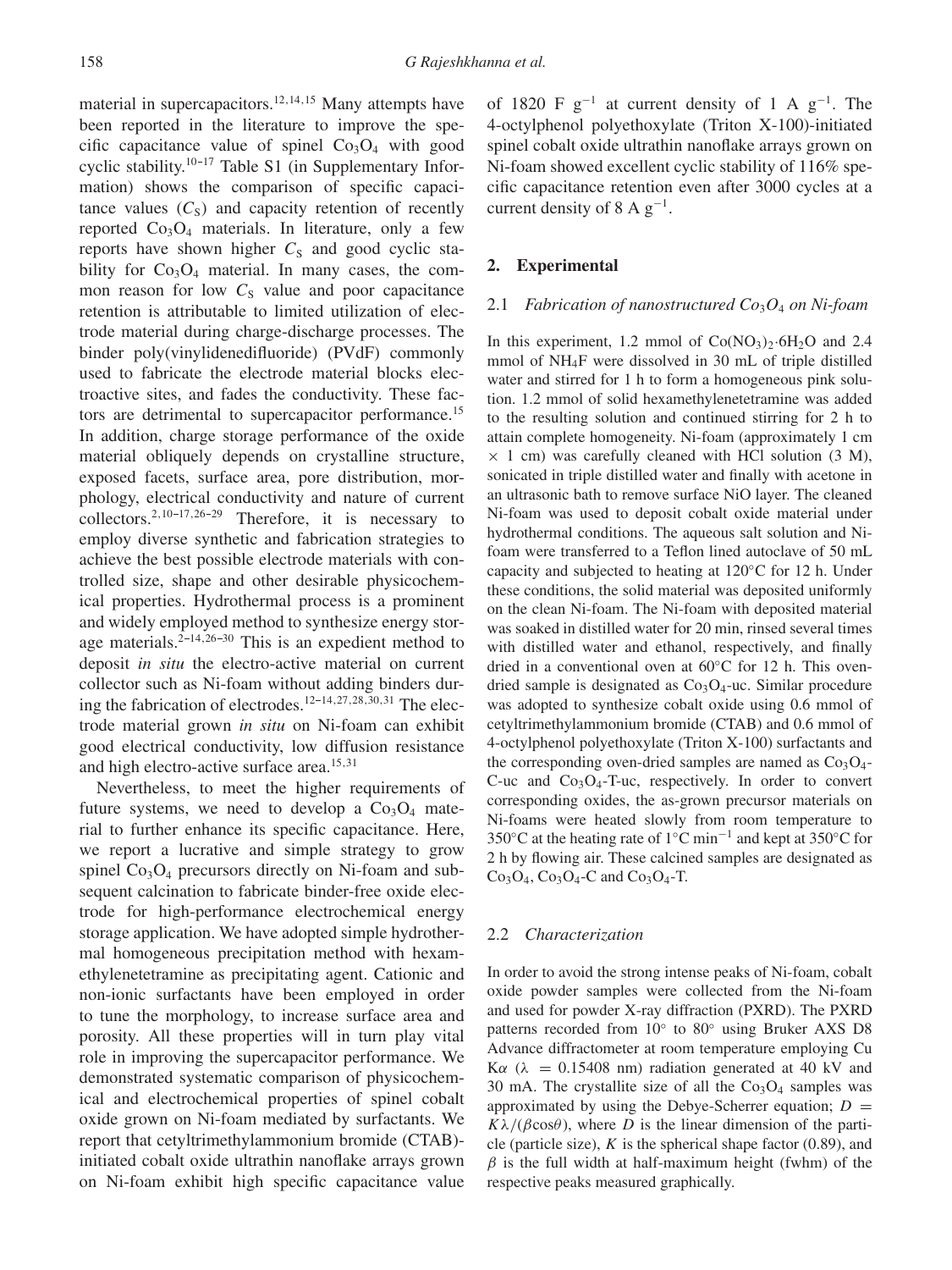material in supercapacitors.<sup>12,14,15</sup> Many attempts have been reported in the literature to improve the specific capacitance value of spinel  $Co<sub>3</sub>O<sub>4</sub>$  with good cyclic stability.<sup>10-17</sup> Table S1 (in Supplementary Information) shows the comparison of specific capacitance values  $(C<sub>S</sub>)$  and capacity retention of recently reported  $Co<sub>3</sub>O<sub>4</sub>$  materials. In literature, only a few reports have shown higher  $C<sub>S</sub>$  and good cyclic stability for  $Co<sub>3</sub>O<sub>4</sub>$  material. In many cases, the common reason for low  $C<sub>S</sub>$  value and poor capacitance retention is attributable to limited utilization of electrode material during charge-discharge processes. The binder poly(vinylidenedifluoride) (PVdF) commonly used to fabricate the electrode material blocks electroactive sites, and fades the conductivity. These factors are detrimental to supercapacitor performance.<sup>15</sup> In addition, charge storage performance of the oxide material obliquely depends on crystalline structure, exposed facets, surface area, pore distribution, morphology, electrical conductivity and nature of current collectors.<sup>2,10-17,26-29</sup> Therefore, it is necessary to employ diverse synthetic and fabrication strategies to achieve the best possible electrode materials with controlled size, shape and other desirable physicochemical properties. Hydrothermal process is a prominent and widely employed method to synthesize energy storage materials.<sup>2-14,26-30</sup> This is an expedient method to deposit *in situ* the electro-active material on current collector such as Ni-foam without adding binders during the fabrication of electrodes.<sup>12-14,27,28,30,31</sup> The electrode material grown *in situ* on Ni-foam can exhibit good electrical conductivity, low diffusion resistance and high electro-active surface area.<sup>15,31</sup>

Nevertheless, to meet the higher requirements of future systems, we need to develop a  $Co<sub>3</sub>O<sub>4</sub>$  material to further enhance its specific capacitance. Here, we report a lucrative and simple strategy to grow spinel  $Co_3O_4$  precursors directly on Ni-foam and subsequent calcination to fabricate binder-free oxide electrode for high-performance electrochemical energy storage application. We have adopted simple hydrothermal homogeneous precipitation method with hexamethylenetetramine as precipitating agent. Cationic and non-ionic surfactants have been employed in order to tune the morphology, to increase surface area and porosity. All these properties will in turn play vital role in improving the supercapacitor performance. We demonstrated systematic comparison of physicochemical and electrochemical properties of spinel cobalt oxide grown on Ni-foam mediated by surfactants. We report that cetyltrimethylammonium bromide (CTAB) initiated cobalt oxide ultrathin nanoflake arrays grown on Ni-foam exhibit high specific capacitance value of 1820 F  $g^{-1}$  at current density of 1 A  $g^{-1}$ . The 4-octylphenol polyethoxylate (Triton X-100)-initiated spinel cobalt oxide ultrathin nanoflake arrays grown on Ni-foam showed excellent cyclic stability of 116% specific capacitance retention even after 3000 cycles at a current density of 8 A  $g^{-1}$ .

## **2. Experimental**

### 2.1 *Fabrication of nanostructured Co*3*O*<sup>4</sup> *on Ni-foam*

In this experiment, 1.2 mmol of  $Co(NO<sub>3</sub>)<sub>2</sub>·6H<sub>2</sub>O$  and 2.4 mmol of NH4F were dissolved in 30 mL of triple distilled water and stirred for 1 h to form a homogeneous pink solution. 1.2 mmol of solid hexamethylenetetramine was added to the resulting solution and continued stirring for 2 h to attain complete homogeneity. Ni-foam (approximately 1 cm  $\times$  1 cm) was carefully cleaned with HCl solution (3 M), sonicated in triple distilled water and finally with acetone in an ultrasonic bath to remove surface NiO layer. The cleaned Ni-foam was used to deposit cobalt oxide material under hydrothermal conditions. The aqueous salt solution and Nifoam were transferred to a Teflon lined autoclave of 50 mL capacity and subjected to heating at 120◦C for 12 h. Under these conditions, the solid material was deposited uniformly on the clean Ni-foam. The Ni-foam with deposited material was soaked in distilled water for 20 min, rinsed several times with distilled water and ethanol, respectively, and finally dried in a conventional oven at 60◦C for 12 h. This ovendried sample is designated as  $Co<sub>3</sub>O<sub>4</sub>$ -uc. Similar procedure was adopted to synthesize cobalt oxide using 0.6 mmol of cetyltrimethylammonium bromide (CTAB) and 0.6 mmol of 4-octylphenol polyethoxylate (Triton X-100) surfactants and the corresponding oven-dried samples are named as  $Co<sub>3</sub>O<sub>4</sub>$ -C-uc and  $Co<sub>3</sub>O<sub>4</sub>$ -T-uc, respectively. In order to convert corresponding oxides, the as-grown precursor materials on Ni-foams were heated slowly from room temperature to 350◦C at the heating rate of 1◦C min−<sup>1</sup> and kept at 350◦C for 2 h by flowing air. These calcined samples are designated as  $Co<sub>3</sub>O<sub>4</sub>$ ,  $Co<sub>3</sub>O<sub>4</sub>$ -C and  $Co<sub>3</sub>O<sub>4</sub>$ -T.

## 2.2 *Characterization*

In order to avoid the strong intense peaks of Ni-foam, cobalt oxide powder samples were collected from the Ni-foam and used for powder X-ray diffraction (PXRD). The PXRD patterns recorded from 10◦ to 80◦ using Bruker AXS D8 Advance diffractometer at room temperature employing Cu K $\alpha$  ( $\lambda$  = 0.15408 nm) radiation generated at 40 kV and 30 mA. The crystallite size of all the  $Co<sub>3</sub>O<sub>4</sub>$  samples was approximated by using the Debye-Scherrer equation;  $D =$  $K\lambda/(\beta\cos\theta)$ , where D is the linear dimension of the particle (particle size),  $K$  is the spherical shape factor (0.89), and  $\beta$  is the full width at half-maximum height (fwhm) of the respective peaks measured graphically.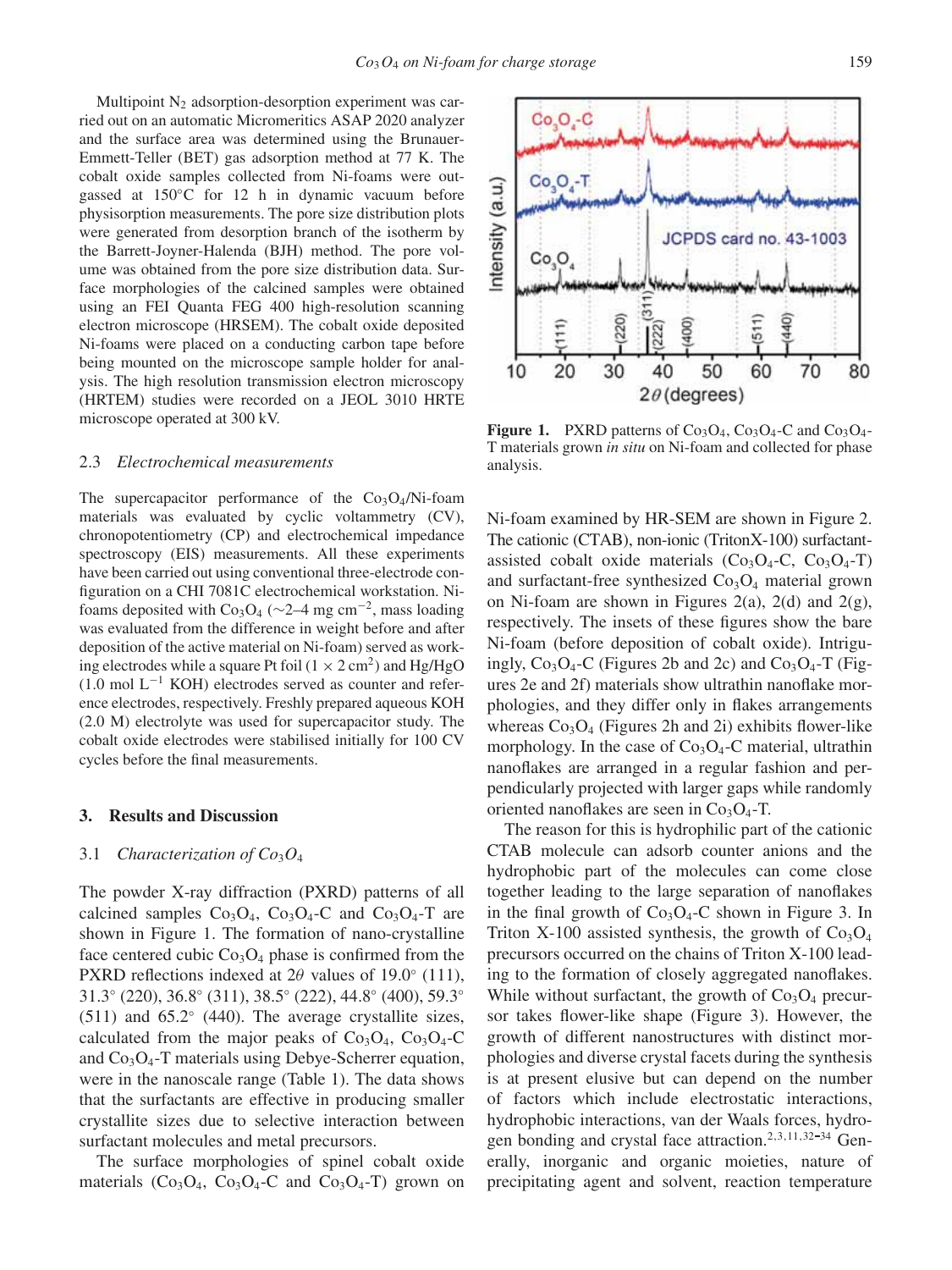Multipoint  $N<sub>2</sub>$  adsorption-desorption experiment was carried out on an automatic Micromeritics ASAP 2020 analyzer and the surface area was determined using the Brunauer-Emmett-Teller (BET) gas adsorption method at 77 K. The cobalt oxide samples collected from Ni-foams were outgassed at 150◦C for 12 h in dynamic vacuum before physisorption measurements. The pore size distribution plots were generated from desorption branch of the isotherm by the Barrett-Joyner-Halenda (BJH) method. The pore volume was obtained from the pore size distribution data. Surface morphologies of the calcined samples were obtained using an FEI Quanta FEG 400 high-resolution scanning electron microscope (HRSEM). The cobalt oxide deposited Ni-foams were placed on a conducting carbon tape before being mounted on the microscope sample holder for analysis. The high resolution transmission electron microscopy (HRTEM) studies were recorded on a JEOL 3010 HRTE microscope operated at 300 kV.

#### 2.3 *Electrochemical measurements*

The supercapacitor performance of the  $Co<sub>3</sub>O<sub>4</sub>/Ni-foam$ materials was evaluated by cyclic voltammetry (CV), chronopotentiometry (CP) and electrochemical impedance spectroscopy (EIS) measurements. All these experiments have been carried out using conventional three-electrode configuration on a CHI 7081C electrochemical workstation. Nifoams deposited with Co<sub>3</sub>O<sub>4</sub> (∼2–4 mg cm<sup>-2</sup>, mass loading was evaluated from the difference in weight before and after deposition of the active material on Ni-foam) served as working electrodes while a square Pt foil  $(1 \times 2 \text{ cm}^2)$  and Hg/HgO (1.0 mol L−<sup>1</sup> KOH) electrodes served as counter and reference electrodes, respectively. Freshly prepared aqueous KOH (2.0 M) electrolyte was used for supercapacitor study. The cobalt oxide electrodes were stabilised initially for 100 CV cycles before the final measurements.

#### **3. Results and Discussion**

#### 3.1 *Characterization of Co*3*O*<sup>4</sup>

The powder X-ray diffraction (PXRD) patterns of all calcined samples  $Co<sub>3</sub>O<sub>4</sub>$ ,  $Co<sub>3</sub>O<sub>4</sub>$ -C and  $Co<sub>3</sub>O<sub>4</sub>$ -T are shown in Figure 1. The formation of nano-crystalline face centered cubic  $Co<sub>3</sub>O<sub>4</sub>$  phase is confirmed from the PXRD reflections indexed at  $2\theta$  values of 19.0 $\degree$  (111), 31.3◦ (220), 36.8◦ (311), 38.5◦ (222), 44.8◦ (400), 59.3◦ (511) and  $65.2°$  (440). The average crystallite sizes, calculated from the major peaks of  $Co<sub>3</sub>O<sub>4</sub>$ ,  $Co<sub>3</sub>O<sub>4</sub>$ -C and  $Co<sub>3</sub>O<sub>4</sub>$ -T materials using Debye-Scherrer equation, were in the nanoscale range (Table 1). The data shows that the surfactants are effective in producing smaller crystallite sizes due to selective interaction between surfactant molecules and metal precursors.

The surface morphologies of spinel cobalt oxide materials  $(Co_3O_4, Co_3O_4-C$  and  $Co_3O_4-T$ ) grown on

**Figure 1.** PXRD patterns of  $Co<sub>3</sub>O<sub>4</sub>$ ,  $Co<sub>3</sub>O<sub>4</sub>$ -C and  $Co<sub>3</sub>O<sub>4</sub>$ -T materials grown *in situ* on Ni-foam and collected for phase analysis.

Ni-foam examined by HR-SEM are shown in Figure 2. The cationic (CTAB), non-ionic (TritonX-100) surfactantassisted cobalt oxide materials  $(C_{Q_3}O_4-C, Co_3O_4-T)$ and surfactant-free synthesized  $Co<sub>3</sub>O<sub>4</sub>$  material grown on Ni-foam are shown in Figures 2(a), 2(d) and 2(g), respectively. The insets of these figures show the bare Ni-foam (before deposition of cobalt oxide). Intriguingly,  $Co_3O_4$ -C (Figures 2b and 2c) and  $Co_3O_4$ -T (Figures 2e and 2f) materials show ultrathin nanoflake morphologies, and they differ only in flakes arrangements whereas  $Co<sub>3</sub>O<sub>4</sub>$  (Figures 2h and 2i) exhibits flower-like morphology. In the case of  $Co<sub>3</sub>O<sub>4</sub>$ -C material, ultrathin nanoflakes are arranged in a regular fashion and perpendicularly projected with larger gaps while randomly oriented nanoflakes are seen in  $Co<sub>3</sub>O<sub>4</sub>$ -T.

The reason for this is hydrophilic part of the cationic CTAB molecule can adsorb counter anions and the hydrophobic part of the molecules can come close together leading to the large separation of nanoflakes in the final growth of  $Co<sub>3</sub>O<sub>4</sub>$ -C shown in Figure 3. In Triton X-100 assisted synthesis, the growth of  $Co<sub>3</sub>O<sub>4</sub>$ precursors occurred on the chains of Triton X-100 leading to the formation of closely aggregated nanoflakes. While without surfactant, the growth of  $Co<sub>3</sub>O<sub>4</sub>$  precursor takes flower-like shape (Figure 3). However, the growth of different nanostructures with distinct morphologies and diverse crystal facets during the synthesis is at present elusive but can depend on the number of factors which include electrostatic interactions, hydrophobic interactions, van der Waals forces, hydrogen bonding and crystal face attraction.<sup>2,3,11,32-34</sup> Generally, inorganic and organic moieties, nature of precipitating agent and solvent, reaction temperature

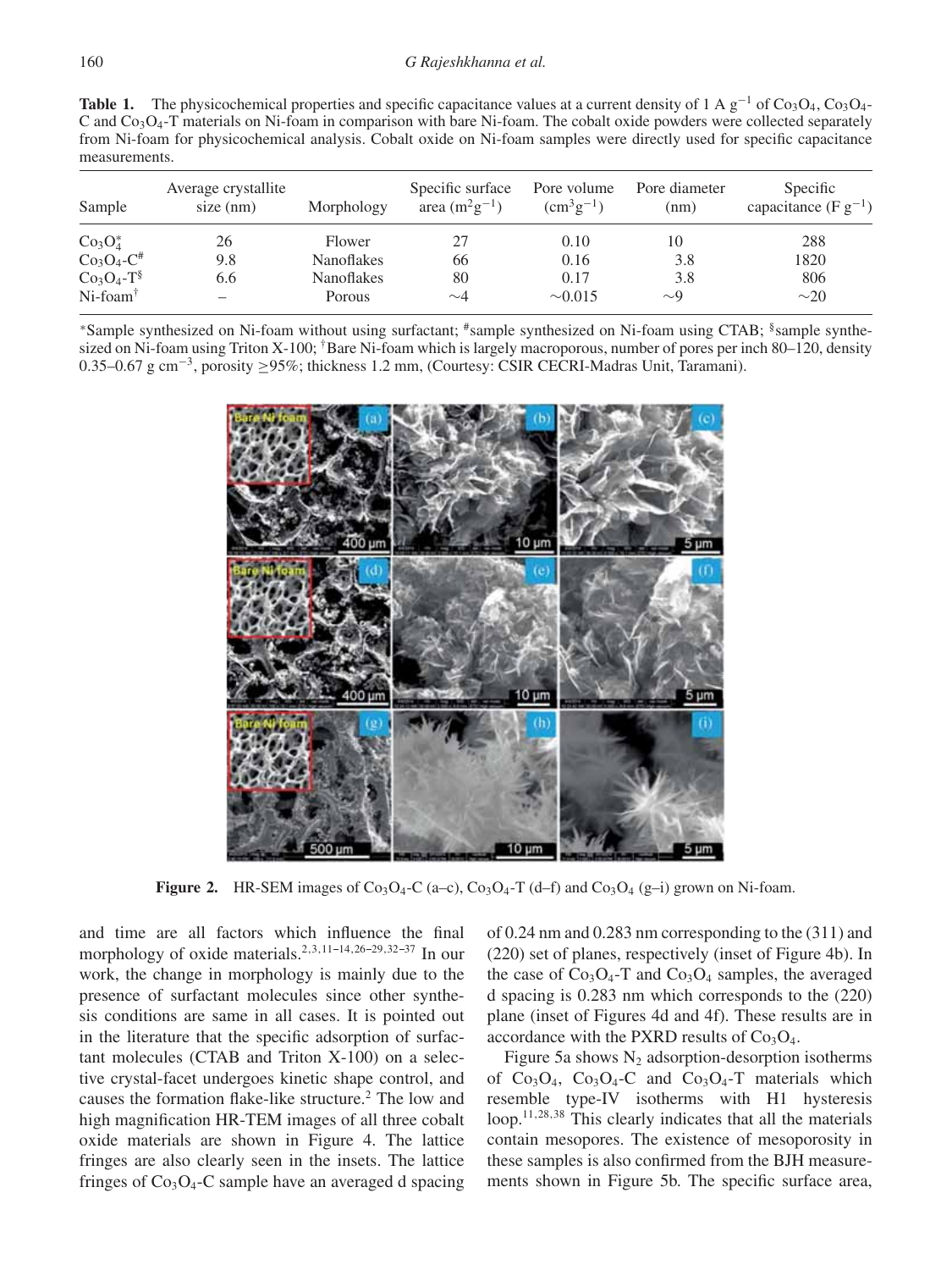**Table 1.** The physicochemical properties and specific capacitance values at a current density of 1 A  $g^{-1}$  of Co<sub>3</sub>O<sub>4</sub>, Co<sub>3</sub>O<sub>4</sub>-C and  $Co<sub>3</sub>O<sub>4</sub>$ -T materials on Ni-foam in comparison with bare Ni-foam. The cobalt oxide powders were collected separately from Ni-foam for physicochemical analysis. Cobalt oxide on Ni-foam samples were directly used for specific capacitance measurements.

| Sample                  | Average crystallite<br>size (nm) | Morphology        | Specific surface<br>area $(m^2g^{-1})$ | Pore volume<br>$\rm (cm^3g^{-1})$ | Pore diameter<br>(nm) | Specific<br>capacitance (F $g^{-1}$ ) |
|-------------------------|----------------------------------|-------------------|----------------------------------------|-----------------------------------|-----------------------|---------------------------------------|
| $Co3O4*$                | 26                               | Flower            | 27                                     | 0.10                              | 10                    | 288                                   |
| $Co3O4-C#$              | 9.8                              | <b>Nanoflakes</b> | 66                                     | 0.16                              | 3.8                   | 1820                                  |
| $Co3O4-T§$              | 6.6                              | <b>Nanoflakes</b> | 80                                     | 0.17                              | 3.8                   | 806                                   |
| $Ni$ -foam <sup>†</sup> |                                  | Porous            | $\sim\!\!4$                            | $\sim 0.015$                      | $\sim$ 9              | $\sim$ 20                             |

<sup>∗</sup>Sample synthesized on Ni-foam without using surfactant; #sample synthesized on Ni-foam using CTAB; §sample synthesized on Ni-foam using Triton X-100; <sup>†</sup>Bare Ni-foam which is largely macroporous, number of pores per inch 80–120, density 0.35–0.67 g cm−3, porosity ≥95%; thickness 1.2 mm, (Courtesy: CSIR CECRI-Madras Unit, Taramani).



**Figure 2.** HR-SEM images of  $Co<sub>3</sub>O<sub>4</sub>-C$  (a–c),  $Co<sub>3</sub>O<sub>4</sub>-T$  (d–f) and  $Co<sub>3</sub>O<sub>4</sub>$  (g–i) grown on Ni-foam.

and time are all factors which influence the final morphology of oxide materials.<sup>2,3,11-14,26-29,32-37</sup> In our work, the change in morphology is mainly due to the presence of surfactant molecules since other synthesis conditions are same in all cases. It is pointed out in the literature that the specific adsorption of surfactant molecules (CTAB and Triton X-100) on a selective crystal-facet undergoes kinetic shape control, and causes the formation flake-like structure.2 The low and high magnification HR-TEM images of all three cobalt oxide materials are shown in Figure 4. The lattice fringes are also clearly seen in the insets. The lattice fringes of  $Co<sub>3</sub>O<sub>4</sub>$ -C sample have an averaged d spacing of 0.24 nm and 0.283 nm corresponding to the (311) and (220) set of planes, respectively (inset of Figure 4b). In the case of  $Co<sub>3</sub>O<sub>4</sub>$ -T and  $Co<sub>3</sub>O<sub>4</sub>$  samples, the averaged d spacing is 0.283 nm which corresponds to the (220) plane (inset of Figures 4d and 4f). These results are in accordance with the PXRD results of  $Co<sub>3</sub>O<sub>4</sub>$ .

Figure 5a shows  $N_2$  adsorption-desorption isotherms of  $Co<sub>3</sub>O<sub>4</sub>$ ,  $Co<sub>3</sub>O<sub>4</sub>$ -C and  $Co<sub>3</sub>O<sub>4</sub>$ -T materials which resemble type-IV isotherms with H1 hysteresis loop.11,28,38 This clearly indicates that all the materials contain mesopores. The existence of mesoporosity in these samples is also confirmed from the BJH measurements shown in Figure 5b. The specific surface area,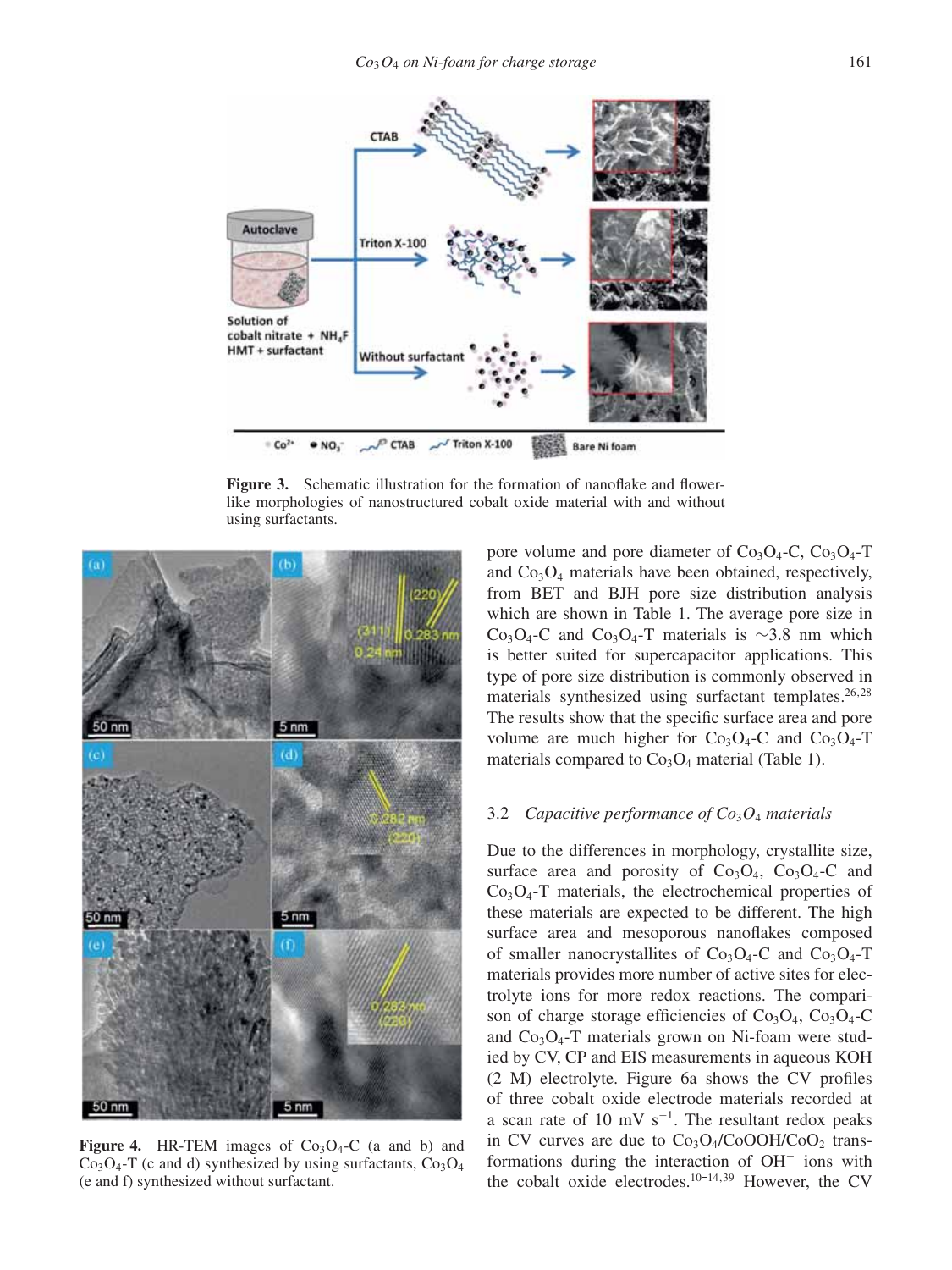

Figure 3. Schematic illustration for the formation of nanoflake and flowerlike morphologies of nanostructured cobalt oxide material with and without using surfactants.



**Figure 4.** HR-TEM images of  $Co<sub>3</sub>O<sub>4</sub>$ -C (a and b) and  $Co<sub>3</sub>O<sub>4</sub>$ -T (c and d) synthesized by using surfactants,  $Co<sub>3</sub>O<sub>4</sub>$ (e and f) synthesized without surfactant.

pore volume and pore diameter of  $Co<sub>3</sub>O<sub>4</sub>$ -C,  $Co<sub>3</sub>O<sub>4</sub>$ -T and  $Co<sub>3</sub>O<sub>4</sub>$  materials have been obtained, respectively, from BET and BJH pore size distribution analysis which are shown in Table 1. The average pore size in Co<sub>3</sub>O<sub>4</sub>-C and Co<sub>3</sub>O<sub>4</sub>-T materials is ∼3.8 nm which is better suited for supercapacitor applications. This type of pore size distribution is commonly observed in materials synthesized using surfactant templates.  $26,28$ The results show that the specific surface area and pore volume are much higher for  $Co<sub>3</sub>O<sub>4</sub>$ -C and  $Co<sub>3</sub>O<sub>4</sub>$ -T materials compared to  $Co<sub>3</sub>O<sub>4</sub>$  material (Table 1).

#### 3.2 *Capacitive performance of Co*3*O*<sup>4</sup> *materials*

Due to the differences in morphology, crystallite size, surface area and porosity of  $Co<sub>3</sub>O<sub>4</sub>$ ,  $Co<sub>3</sub>O<sub>4</sub>$ -C and  $Co<sub>3</sub>O<sub>4</sub>$ -T materials, the electrochemical properties of these materials are expected to be different. The high surface area and mesoporous nanoflakes composed of smaller nanocrystallites of  $Co<sub>3</sub>O<sub>4</sub>$ -C and  $Co<sub>3</sub>O<sub>4</sub>$ -T materials provides more number of active sites for electrolyte ions for more redox reactions. The comparison of charge storage efficiencies of  $Co<sub>3</sub>O<sub>4</sub>$ ,  $Co<sub>3</sub>O<sub>4</sub>$ -C and  $Co<sub>3</sub>O<sub>4</sub>$ -T materials grown on Ni-foam were studied by CV, CP and EIS measurements in aqueous KOH (2 M) electrolyte. Figure 6a shows the CV profiles of three cobalt oxide electrode materials recorded at a scan rate of 10 mV s<sup>-1</sup>. The resultant redox peaks in CV curves are due to  $Co<sub>3</sub>O<sub>4</sub>/CoOOH/CoO<sub>2</sub>$  transformations during the interaction of OH<sup>−</sup> ions with the cobalt oxide electrodes.<sup>10-14,39</sup> However, the CV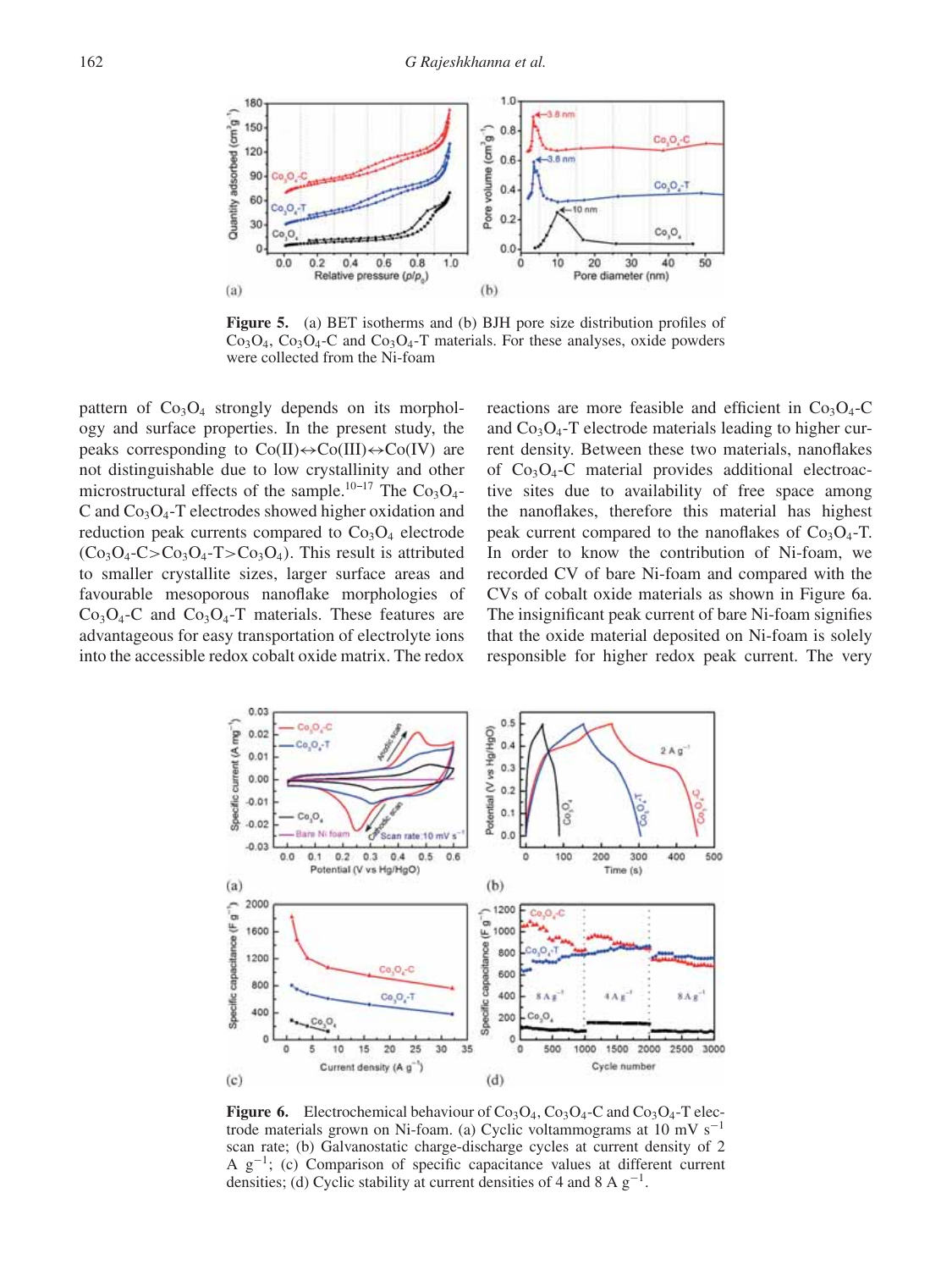

**Figure 5.** (a) BET isotherms and (b) BJH pore size distribution profiles of  $Co<sub>3</sub>O<sub>4</sub>$ ,  $Co<sub>3</sub>O<sub>4</sub>$ -C and  $Co<sub>3</sub>O<sub>4</sub>$ -T materials. For these analyses, oxide powders were collected from the Ni-foam

pattern of  $Co_3O_4$  strongly depends on its morphology and surface properties. In the present study, the peaks corresponding to  $Co(II) \leftrightarrow Co(III) \leftrightarrow Co(IV)$  are not distinguishable due to low crystallinity and other microstructural effects of the sample.<sup>10-17</sup> The Co<sub>3</sub>O<sub>4</sub>-C and  $Co<sub>3</sub>O<sub>4</sub>$ -T electrodes showed higher oxidation and reduction peak currents compared to  $Co<sub>3</sub>O<sub>4</sub>$  electrode  $(Co_3O_4-C>Co_3O_4-T>Co_3O_4)$ . This result is attributed to smaller crystallite sizes, larger surface areas and favourable mesoporous nanoflake morphologies of  $Co<sub>3</sub>O<sub>4</sub>$ -C and  $Co<sub>3</sub>O<sub>4</sub>$ -T materials. These features are advantageous for easy transportation of electrolyte ions into the accessible redox cobalt oxide matrix. The redox reactions are more feasible and efficient in  $Co<sub>3</sub>O<sub>4</sub>$ -C and  $Co<sub>3</sub>O<sub>4</sub>$ -T electrode materials leading to higher current density. Between these two materials, nanoflakes of  $Co<sub>3</sub>O<sub>4</sub>$ -C material provides additional electroactive sites due to availability of free space among the nanoflakes, therefore this material has highest peak current compared to the nanoflakes of  $Co<sub>3</sub>O<sub>4</sub>-T$ . In order to know the contribution of Ni-foam, we recorded CV of bare Ni-foam and compared with the CVs of cobalt oxide materials as shown in Figure 6a. The insignificant peak current of bare Ni-foam signifies that the oxide material deposited on Ni-foam is solely responsible for higher redox peak current. The very



**Figure 6.** Electrochemical behaviour of  $Co<sub>3</sub>O<sub>4</sub>$ ,  $Co<sub>3</sub>O<sub>4</sub>$ -C and  $Co<sub>3</sub>O<sub>4</sub>$ -T electrode materials grown on Ni-foam. (a) Cyclic voltammograms at 10 mV s<sup>-1</sup> scan rate; (b) Galvanostatic charge-discharge cycles at current density of 2 A  $g^{-1}$ ; (c) Comparison of specific capacitance values at different current densities; (d) Cyclic stability at current densities of 4 and 8 A  $g^{-1}$ .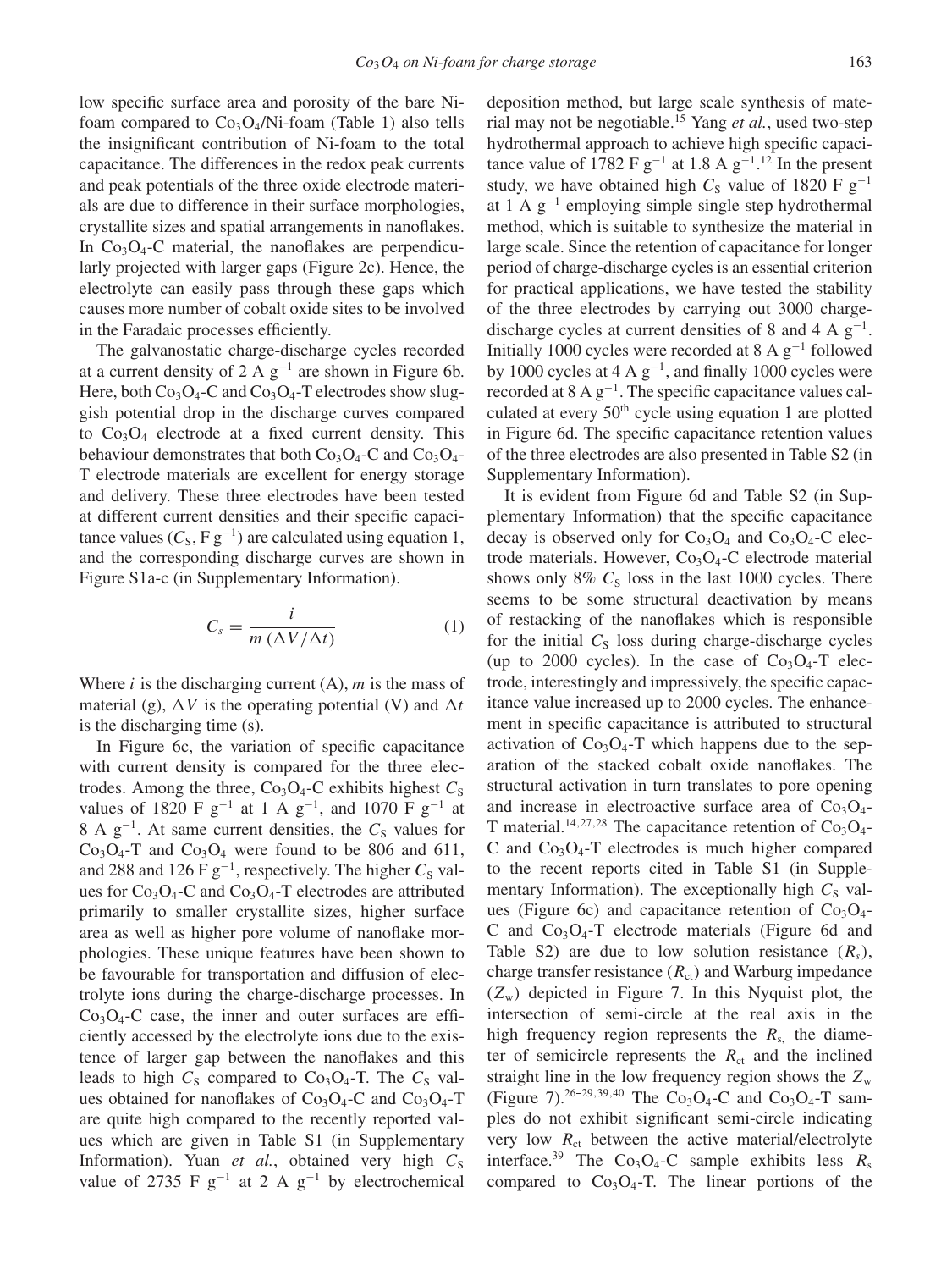low specific surface area and porosity of the bare Nifoam compared to  $Co<sub>3</sub>O<sub>4</sub>/Ni$ -foam (Table 1) also tells the insignificant contribution of Ni-foam to the total capacitance. The differences in the redox peak currents and peak potentials of the three oxide electrode materials are due to difference in their surface morphologies, crystallite sizes and spatial arrangements in nanoflakes. In  $Co_3O_4$ -C material, the nanoflakes are perpendicularly projected with larger gaps (Figure 2c). Hence, the electrolyte can easily pass through these gaps which causes more number of cobalt oxide sites to be involved in the Faradaic processes efficiently.

The galvanostatic charge-discharge cycles recorded at a current density of 2 A  $g^{-1}$  are shown in Figure 6b. Here, both  $Co_3O_4$ -C and  $Co_3O_4$ -T electrodes show sluggish potential drop in the discharge curves compared to  $Co<sub>3</sub>O<sub>4</sub>$  electrode at a fixed current density. This behaviour demonstrates that both  $Co<sub>3</sub>O<sub>4</sub>$ -C and  $Co<sub>3</sub>O<sub>4</sub>$ -T electrode materials are excellent for energy storage and delivery. These three electrodes have been tested at different current densities and their specific capacitance values ( $C_s$ , F g<sup>-1</sup>) are calculated using equation 1, and the corresponding discharge curves are shown in Figure S1a-c (in Supplementary Information).

$$
C_s = \frac{i}{m\left(\Delta V/\Delta t\right)}\tag{1}
$$

Where i is the discharging current  $(A)$ , m is the mass of material (g),  $\Delta V$  is the operating potential (V) and  $\Delta t$ is the discharging time (s).

In Figure 6c, the variation of specific capacitance with current density is compared for the three electrodes. Among the three,  $Co<sub>3</sub>O<sub>4</sub>$ -C exhibits highest  $C<sub>S</sub>$ values of 1820 F  $g^{-1}$  at 1 A  $g^{-1}$ , and 1070 F  $g^{-1}$  at 8 A  $g^{-1}$ . At same current densities, the  $C_s$  values for  $Co<sub>3</sub>O<sub>4</sub>$ -T and  $Co<sub>3</sub>O<sub>4</sub>$  were found to be 806 and 611, and 288 and 126 F  $g^{-1}$ , respectively. The higher  $C_S$  values for  $Co<sub>3</sub>O<sub>4</sub>$ -C and  $Co<sub>3</sub>O<sub>4</sub>$ -T electrodes are attributed primarily to smaller crystallite sizes, higher surface area as well as higher pore volume of nanoflake morphologies. These unique features have been shown to be favourable for transportation and diffusion of electrolyte ions during the charge-discharge processes. In  $Co<sub>3</sub>O<sub>4</sub>$ -C case, the inner and outer surfaces are efficiently accessed by the electrolyte ions due to the existence of larger gap between the nanoflakes and this leads to high  $C_s$  compared to  $Co<sub>3</sub>O<sub>4</sub>$ -T. The  $C_s$  values obtained for nanoflakes of  $Co<sub>3</sub>O<sub>4</sub>$ -C and  $Co<sub>3</sub>O<sub>4</sub>$ -T are quite high compared to the recently reported values which are given in Table S1 (in Supplementary Information). Yuan  $et$   $al$ , obtained very high  $C<sub>S</sub>$ value of 2735 F  $g^{-1}$  at 2 A  $g^{-1}$  by electrochemical

deposition method, but large scale synthesis of material may not be negotiable.15 Yang *et al.*, used two-step hydrothermal approach to achieve high specific capacitance value of 1782 F  $g^{-1}$  at 1.8 A  $g^{-1}$ .<sup>12</sup> In the present study, we have obtained high  $C_S$  value of 1820 F g<sup>-1</sup> at 1 A  $g^{-1}$  employing simple single step hydrothermal method, which is suitable to synthesize the material in large scale. Since the retention of capacitance for longer period of charge-discharge cycles is an essential criterion for practical applications, we have tested the stability of the three electrodes by carrying out 3000 chargedischarge cycles at current densities of 8 and 4 A  $g^{-1}$ . Initially 1000 cycles were recorded at 8 A g−<sup>1</sup> followed by 1000 cycles at 4 A  $g^{-1}$ , and finally 1000 cycles were recorded at  $8 \text{ A } g^{-1}$ . The specific capacitance values calculated at every  $50<sup>th</sup>$  cycle using equation 1 are plotted in Figure 6d. The specific capacitance retention values of the three electrodes are also presented in Table S2 (in Supplementary Information).

It is evident from Figure 6d and Table S2 (in Supplementary Information) that the specific capacitance decay is observed only for  $Co<sub>3</sub>O<sub>4</sub>$  and  $Co<sub>3</sub>O<sub>4</sub>$ -C electrode materials. However,  $Co<sub>3</sub>O<sub>4</sub>-C$  electrode material shows only 8%  $C_s$  loss in the last 1000 cycles. There seems to be some structural deactivation by means of restacking of the nanoflakes which is responsible for the initial  $C_s$  loss during charge-discharge cycles (up to 2000 cycles). In the case of  $Co<sub>3</sub>O<sub>4</sub>-T$  electrode, interestingly and impressively, the specific capacitance value increased up to 2000 cycles. The enhancement in specific capacitance is attributed to structural activation of  $Co<sub>3</sub>O<sub>4</sub>-T$  which happens due to the separation of the stacked cobalt oxide nanoflakes. The structural activation in turn translates to pore opening and increase in electroactive surface area of  $Co<sub>3</sub>O<sub>4</sub>$ -T material.<sup>14,27,28</sup> The capacitance retention of  $Co<sub>3</sub>O<sub>4</sub>$ C and  $Co_3O_4$ -T electrodes is much higher compared to the recent reports cited in Table S1 (in Supplementary Information). The exceptionally high  $C_S$  values (Figure 6c) and capacitance retention of  $Co<sub>3</sub>O<sub>4</sub>$ -C and  $Co<sub>3</sub>O<sub>4</sub>$ -T electrode materials (Figure 6d and Table S2) are due to low solution resistance  $(R_s)$ , charge transfer resistance  $(R_{ct})$  and Warburg impedance  $(Z_w)$  depicted in Figure 7. In this Nyquist plot, the intersection of semi-circle at the real axis in the high frequency region represents the  $R_s$ , the diameter of semicircle represents the  $R_{ct}$  and the inclined straight line in the low frequency region shows the  $Z_w$ (Figure 7).<sup>26-29,39,40</sup> The Co<sub>3</sub>O<sub>4</sub>-C and Co<sub>3</sub>O<sub>4</sub>-T samples do not exhibit significant semi-circle indicating very low  $R<sub>ct</sub>$  between the active material/electrolyte interface.<sup>39</sup> The Co<sub>3</sub>O<sub>4</sub>-C sample exhibits less  $R_s$ compared to  $Co<sub>3</sub>O<sub>4</sub>$ -T. The linear portions of the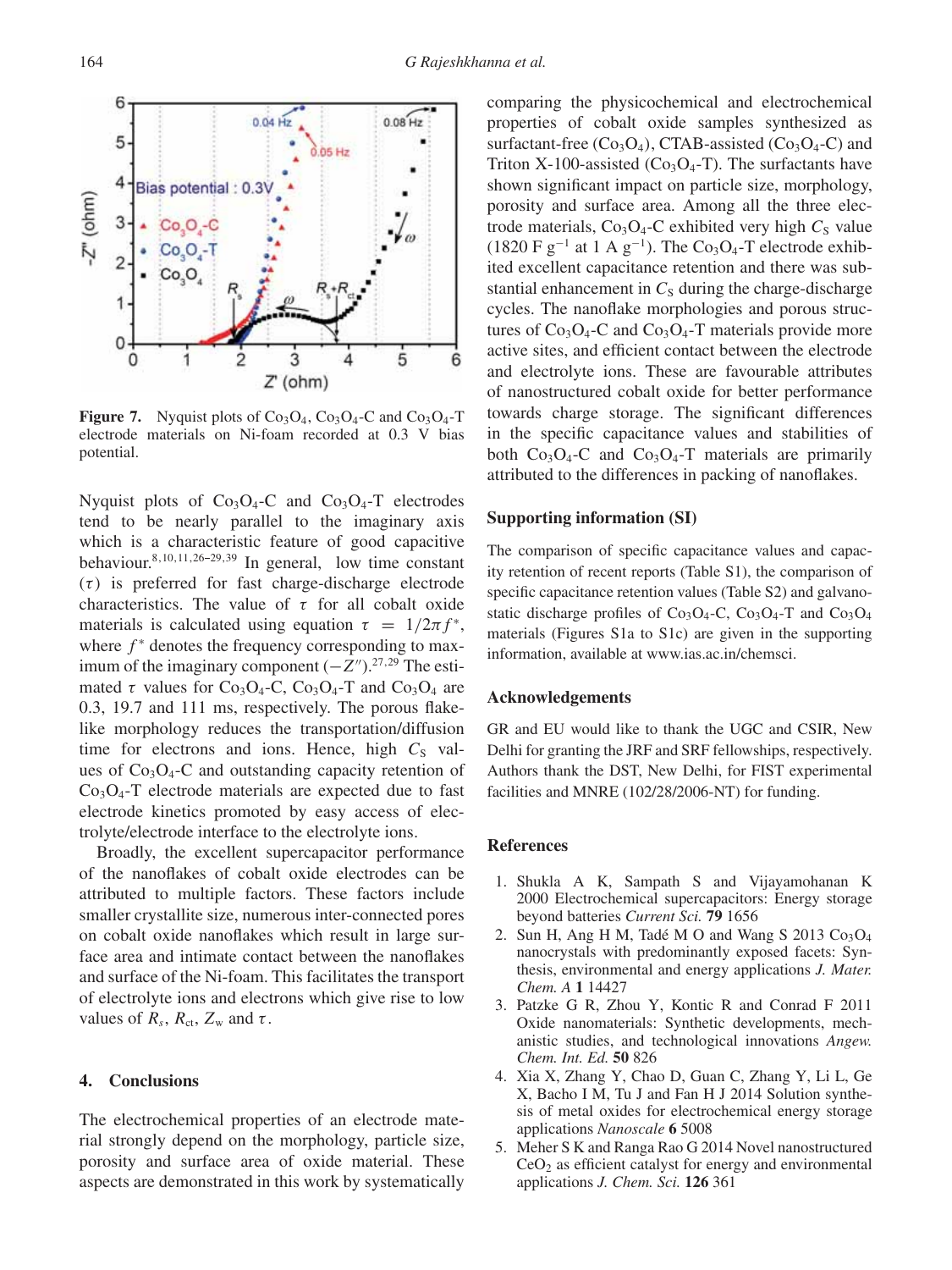

Nyquist plots of  $Co<sub>3</sub>O<sub>4</sub>-C$  and  $Co<sub>3</sub>O<sub>4</sub>-T$  electrodes tend to be nearly parallel to the imaginary axis which is a characteristic feature of good capacitive behaviour.<sup>8,10,11,26-29,39</sup> In general, low time constant  $(\tau)$  is preferred for fast charge-discharge electrode characteristics. The value of  $\tau$  for all cobalt oxide materials is calculated using equation  $\tau = 1/2\pi f^*$ , where  $f^*$  denotes the frequency corresponding to maximum of the imaginary component  $(-Z'')$ .<sup>27,29</sup> The estimated  $\tau$  values for Co<sub>3</sub>O<sub>4</sub>-C, Co<sub>3</sub>O<sub>4</sub>-T and Co<sub>3</sub>O<sub>4</sub> are 0.3, 19.7 and 111 ms, respectively. The porous flakelike morphology reduces the transportation/diffusion time for electrons and ions. Hence, high  $C<sub>S</sub>$  values of  $Co<sub>3</sub>O<sub>4</sub>$ -C and outstanding capacity retention of  $Co<sub>3</sub>O<sub>4</sub>$ -T electrode materials are expected due to fast electrode kinetics promoted by easy access of electrolyte/electrode interface to the electrolyte ions.

Broadly, the excellent supercapacitor performance of the nanoflakes of cobalt oxide electrodes can be attributed to multiple factors. These factors include smaller crystallite size, numerous inter-connected pores on cobalt oxide nanoflakes which result in large surface area and intimate contact between the nanoflakes and surface of the Ni-foam. This facilitates the transport of electrolyte ions and electrons which give rise to low values of  $R_s$ ,  $R_{ct}$ ,  $Z_w$  and  $\tau$ .

## **4. Conclusions**

The electrochemical properties of an electrode material strongly depend on the morphology, particle size, porosity and surface area of oxide material. These aspects are demonstrated in this work by systematically comparing the physicochemical and electrochemical properties of cobalt oxide samples synthesized as surfactant-free  $(Co_3O_4)$ , CTAB-assisted  $(Co_3O_4$ -C) and Triton X-100-assisted  $(Co<sub>3</sub>O<sub>4</sub>-T)$ . The surfactants have shown significant impact on particle size, morphology, porosity and surface area. Among all the three electrode materials,  $Co<sub>3</sub>O<sub>4</sub>$ -C exhibited very high  $C<sub>S</sub>$  value (1820 F g<sup>-1</sup> at 1 A g<sup>-1</sup>). The Co<sub>3</sub>O<sub>4</sub>-T electrode exhibited excellent capacitance retention and there was substantial enhancement in  $C<sub>S</sub>$  during the charge-discharge cycles. The nanoflake morphologies and porous structures of  $Co<sub>3</sub>O<sub>4</sub>$ -C and  $Co<sub>3</sub>O<sub>4</sub>$ -T materials provide more active sites, and efficient contact between the electrode and electrolyte ions. These are favourable attributes of nanostructured cobalt oxide for better performance towards charge storage. The significant differences in the specific capacitance values and stabilities of both  $Co<sub>3</sub>O<sub>4</sub>$ -C and  $Co<sub>3</sub>O<sub>4</sub>$ -T materials are primarily attributed to the differences in packing of nanoflakes.

#### **Supporting information (SI)**

The comparison of specific capacitance values and capacity retention of recent reports (Table S1), the comparison of specific capacitance retention values (Table S2) and galvanostatic discharge profiles of  $Co<sub>3</sub>O<sub>4</sub>-C$ ,  $Co<sub>3</sub>O<sub>4</sub>-T$  and  $Co<sub>3</sub>O<sub>4</sub>$ materials (Figures S1a to S1c) are given in the supporting information, available at www.ias.ac.in/chemsci.

#### **Acknowledgements**

GR and EU would like to thank the UGC and CSIR, New Delhi for granting the JRF and SRF fellowships, respectively. Authors thank the DST, New Delhi, for FIST experimental facilities and MNRE (102/28/2006-NT) for funding.

#### **References**

- 1. Shukla A K, Sampath S and Vijayamohanan K 2000 Electrochemical supercapacitors: Energy storage beyond batteries *Current Sci.* **79** 1656
- 2. Sun H, Ang H M, Tadé M O and Wang S 2013  $Co<sub>3</sub>O<sub>4</sub>$ nanocrystals with predominantly exposed facets: Synthesis, environmental and energy applications *J. Mater. Chem. A* **1** 14427
- 3. Patzke G R, Zhou Y, Kontic R and Conrad F 2011 Oxide nanomaterials: Synthetic developments, mechanistic studies, and technological innovations *Angew. Chem. Int. Ed.* **50** 826
- 4. Xia X, Zhang Y, Chao D, Guan C, Zhang Y, Li L, Ge X, Bacho I M, Tu J and Fan H J 2014 Solution synthesis of metal oxides for electrochemical energy storage applications *Nanoscale* **6** 5008
- 5. Meher S K and Ranga Rao G 2014 Novel nanostructured  $CeO<sub>2</sub>$  as efficient catalyst for energy and environmental applications *J. Chem. Sci.* **126** 361

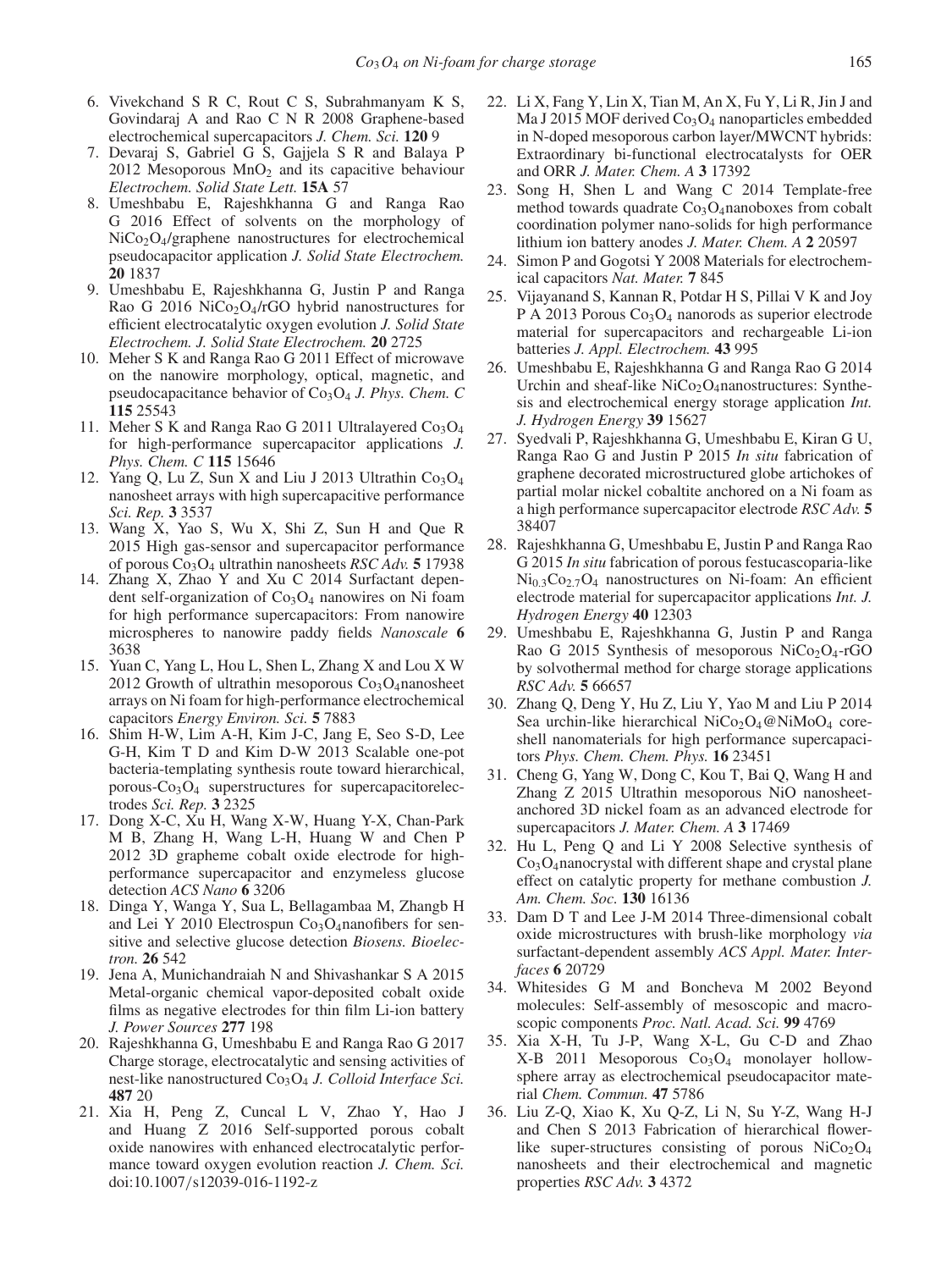- 6. Vivekchand S R C, Rout C S, Subrahmanyam K S, Govindaraj A and Rao C N R 2008 Graphene-based electrochemical supercapacitors *J. Chem. Sci.* **120** 9
- 7. Devaraj S, Gabriel G S, Gajjela S R and Balaya P  $2012$  Mesoporous  $MnO<sub>2</sub>$  and its capacitive behaviour *Electrochem. Solid State Lett.* **15A** 57
- 8. Umeshbabu E, Rajeshkhanna G and Ranga Rao G 2016 Effect of solvents on the morphology of NiCo<sub>2</sub>O<sub>4</sub>/graphene nanostructures for electrochemical pseudocapacitor application *J. Solid State Electrochem.* **20** 1837
- 9. Umeshbabu E, Rajeshkhanna G, Justin P and Ranga Rao G 2016 NiCo<sub>2</sub>O<sub>4</sub>/rGO hybrid nanostructures for efficient electrocatalytic oxygen evolution *J. Solid State Electrochem. J. Solid State Electrochem.* **20** 2725
- 10. Meher S K and Ranga Rao G 2011 Effect of microwave on the nanowire morphology, optical, magnetic, and pseudocapacitance behavior of Co<sub>3</sub>O<sub>4</sub> *J. Phys. Chem. C* **115** 25543
- 11. Meher S K and Ranga Rao G 2011 Ultralayered  $Co<sub>3</sub>O<sub>4</sub>$ for high-performance supercapacitor applications *J. Phys. Chem. C* **115** 15646
- 12. Yang Q, Lu Z, Sun X and Liu J 2013 Ultrathin  $Co<sub>3</sub>O<sub>4</sub>$ nanosheet arrays with high supercapacitive performance *Sci. Rep.* **3** 3537
- 13. Wang X, Yao S, Wu X, Shi Z, Sun H and Que R 2015 High gas-sensor and supercapacitor performance of porous Co3O4 ultrathin nanosheets *RSC Adv.* **5** 17938
- 14. Zhang X, Zhao Y and Xu C 2014 Surfactant dependent self-organization of  $Co<sub>3</sub>O<sub>4</sub>$  nanowires on Ni foam for high performance supercapacitors: From nanowire microspheres to nanowire paddy fields *Nanoscale* **6** 3638
- 15. Yuan C, Yang L, Hou L, Shen L, Zhang X and Lou X W 2012 Growth of ultrathin mesoporous  $Co<sub>3</sub>O<sub>4</sub>$ nanosheet arrays on Ni foam for high-performance electrochemical capacitors *Energy Environ. Sci.* **5** 7883
- 16. Shim H-W, Lim A-H, Kim J-C, Jang E, Seo S-D, Lee G-H, Kim T D and Kim D-W 2013 Scalable one-pot bacteria-templating synthesis route toward hierarchical, porous- $Co<sub>3</sub>O<sub>4</sub>$  superstructures for supercapacitorelectrodes *Sci. Rep.* **3** 2325
- 17. Dong X-C, Xu H, Wang X-W, Huang Y-X, Chan-Park M B, Zhang H, Wang L-H, Huang W and Chen P 2012 3D grapheme cobalt oxide electrode for highperformance supercapacitor and enzymeless glucose detection *ACS Nano* **6** 3206
- 18. Dinga Y, Wanga Y, Sua L, Bellagambaa M, Zhangb H and Lei Y 2010 Electrospun  $Co<sub>3</sub>O<sub>4</sub>$ nanofibers for sensitive and selective glucose detection *Biosens. Bioelectron.* **26** 542
- 19. Jena A, Munichandraiah N and Shivashankar S A 2015 Metal-organic chemical vapor-deposited cobalt oxide films as negative electrodes for thin film Li-ion battery *J. Power Sources* **277** 198
- 20. Rajeshkhanna G, Umeshbabu E and Ranga Rao G 2017 Charge storage, electrocatalytic and sensing activities of nest-like nanostructured Co<sub>3</sub>O<sub>4</sub> *J. Colloid Interface Sci.* **487** 20
- 21. Xia H, Peng Z, Cuncal L V, Zhao Y, Hao J and Huang Z 2016 Self-supported porous cobalt oxide nanowires with enhanced electrocatalytic performance toward oxygen evolution reaction *J. Chem. Sci.* doi:10.1007/s12039-016-1192-z
- 22. Li X, Fang Y, Lin X, Tian M, An X, Fu Y, Li R, Jin J and Ma J 2015 MOF derived  $Co<sub>3</sub>O<sub>4</sub>$  nanoparticles embedded in N-doped mesoporous carbon layer/MWCNT hybrids: Extraordinary bi-functional electrocatalysts for OER and ORR *J. Mater. Chem. A* **3** 17392
- 23. Song H, Shen L and Wang C 2014 Template-free method towards quadrate  $Co<sub>3</sub>O<sub>4</sub>$ nanoboxes from cobalt coordination polymer nano-solids for high performance lithium ion battery anodes *J. Mater. Chem. A* **2** 20597
- 24. Simon P and Gogotsi Y 2008 Materials for electrochemical capacitors *Nat. Mater.* **7** 845
- 25. Vijayanand S, Kannan R, Potdar H S, Pillai V K and Joy P A 2013 Porous Co<sub>3</sub>O<sub>4</sub> nanorods as superior electrode material for supercapacitors and rechargeable Li-ion batteries *J. Appl. Electrochem.* **43** 995
- 26. Umeshbabu E, Rajeshkhanna G and Ranga Rao G 2014 Urchin and sheaf-like  $NiCo<sub>2</sub>O<sub>4</sub>$ nanostructures: Synthesis and electrochemical energy storage application *Int. J. Hydrogen Energy* **39** 15627
- 27. Syedvali P, Rajeshkhanna G, Umeshbabu E, Kiran G U, Ranga Rao G and Justin P 2015 *In situ* fabrication of graphene decorated microstructured globe artichokes of partial molar nickel cobaltite anchored on a Ni foam as a high performance supercapacitor electrode *RSC Adv.* **5** 38407
- 28. Rajeshkhanna G, Umeshbabu E, Justin P and Ranga Rao G 2015 *In situ* fabrication of porous festucascoparia-like  $Ni<sub>0.3</sub>Co<sub>2.7</sub>O<sub>4</sub>$  nanostructures on Ni-foam: An efficient electrode material for supercapacitor applications *Int. J. Hydrogen Energy* **40** 12303
- 29. Umeshbabu E, Rajeshkhanna G, Justin P and Ranga Rao G 2015 Synthesis of mesoporous NiCo<sub>2</sub>O<sub>4</sub>-rGO by solvothermal method for charge storage applications *RSC Adv.* **5** 66657
- 30. Zhang Q, Deng Y, Hu Z, Liu Y, Yao M and Liu P 2014 Sea urchin-like hierarchical NiCo<sub>2</sub>O<sub>4</sub>@NiMoO<sub>4</sub> coreshell nanomaterials for high performance supercapacitors *Phys. Chem. Chem. Phys.* **16** 23451
- 31. Cheng G, Yang W, Dong C, Kou T, Bai Q, Wang H and Zhang Z 2015 Ultrathin mesoporous NiO nanosheetanchored 3D nickel foam as an advanced electrode for supercapacitors *J. Mater. Chem. A* **3** 17469
- 32. Hu L, Peng Q and Li Y 2008 Selective synthesis of  $Co<sub>3</sub>O<sub>4</sub>$ nanocrystal with different shape and crystal plane effect on catalytic property for methane combustion *J. Am. Chem. Soc.* **130** 16136
- 33. Dam D T and Lee J-M 2014 Three-dimensional cobalt oxide microstructures with brush-like morphology *via* surfactant-dependent assembly *ACS Appl. Mater. Interfaces* **6** 20729
- 34. Whitesides G M and Boncheva M 2002 Beyond molecules: Self-assembly of mesoscopic and macroscopic components *Proc. Natl. Acad. Sci.* **99** 4769
- 35. Xia X-H, Tu J-P, Wang X-L, Gu C-D and Zhao  $X-B$  2011 Mesoporous  $Co<sub>3</sub>O<sub>4</sub>$  monolayer hollowsphere array as electrochemical pseudocapacitor material *Chem. Commun.* **47** 5786
- 36. Liu Z-Q, Xiao K, Xu Q-Z, Li N, Su Y-Z, Wang H-J and Chen S 2013 Fabrication of hierarchical flowerlike super-structures consisting of porous  $NiCo<sub>2</sub>O<sub>4</sub>$ nanosheets and their electrochemical and magnetic properties *RSC Adv.* **3** 4372